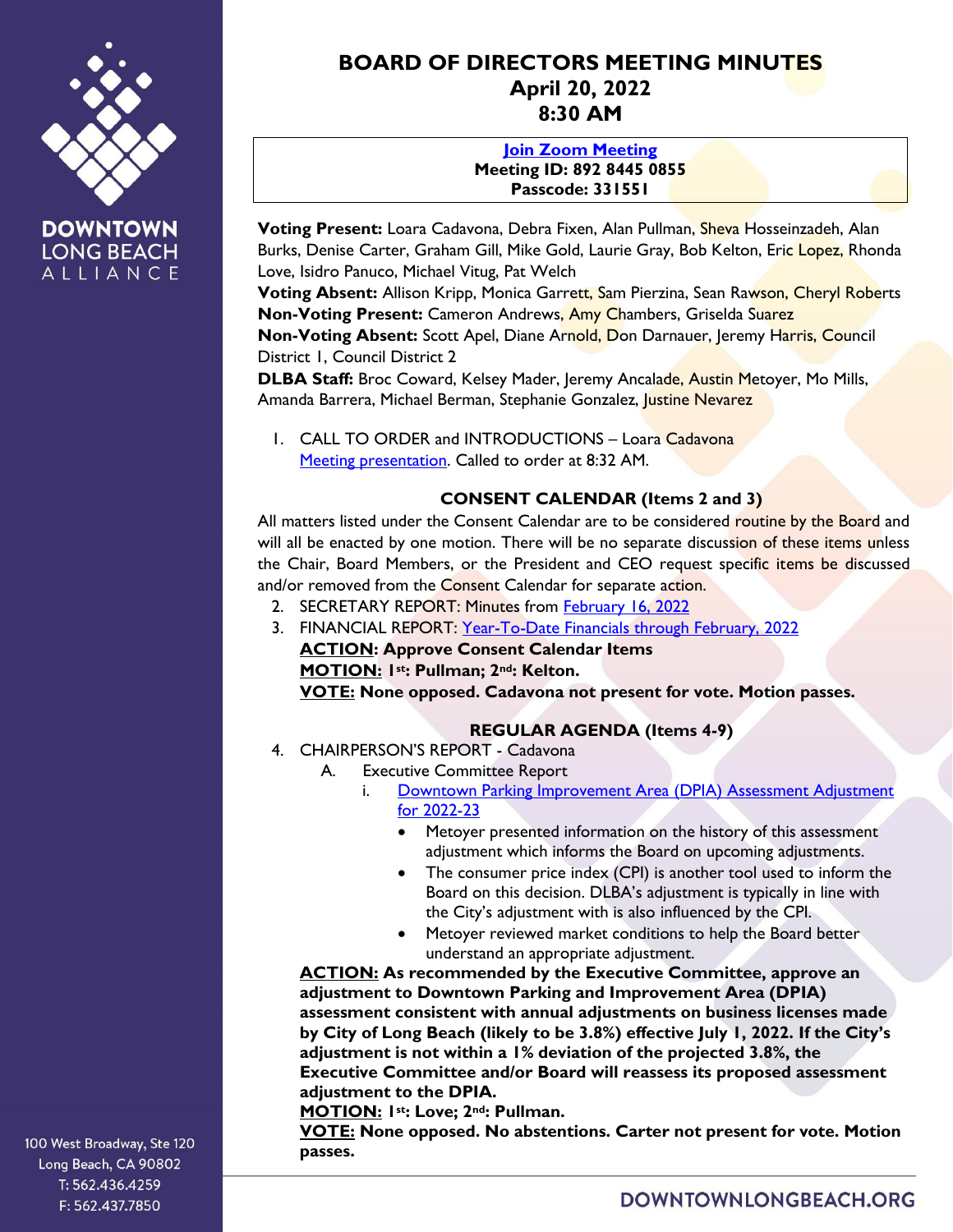

**LONG BEACH** ALLIANCE



#### **[Join Zoom Meeting](https://us02web.zoom.us/j/89284450855?pwd=WGJUWmhrQUhtakJHckJFR3hpMVkxdz09) Meeting ID: 892 8445 0855 Passcode: 331551**

**Voting Present:** Loara Cadavona, Debra Fixen, Alan Pullman, Sheva Hosseinzadeh, Alan Burks, Denise Carter, Graham Gill, Mike Gold, Laurie Gray, Bob Kelton, Eric Lopez, Rhonda Love, Isidro Panuco, Michael Vitug, Pat Welch

**Voting Absent:** Allison Kripp, Monica Garrett, Sam Pierzina, Sean Rawson, Cheryl Roberts **Non-Voting Present:** Cameron Andrews, Amy Chambers, Griselda Suarez **Non-Voting Absent:** Scott Apel, Diane Arnold, Don Darnauer, Jeremy Harris, Council District 1, Council District 2

**DLBA Staff:** Broc Coward, Kelsey Mader, Jeremy Ancalade, Austin Metoyer, Mo Mills, Amanda Barrera, Michael Berman, Stephanie Gonzalez, Justine Nevarez

1. CALL TO ORDER and INTRODUCTIONS – Loara Cadavona [Meeting presentation.](https://downtownlongbeach.org/wp-content/uploads/BoD-Presentation-4-18-2022-Final-Draft-v4.pdf) Called to order at 8:32 AM.

## **CONSENT CALENDAR (Items 2 and 3)**

All matters listed under the Consent Calendar are to be considered routine by the Board and will all be enacted by one motion. There will be no separate discussion of these items unless the Chair, Board Members, or the President and CEO request specific items be discussed and/or removed from the Consent Calendar for separate action.

- 2. SECRETARY REPORT: Minutes from [February](https://downtownlongbeach.org/wp-content/uploads/Board-2-16-22-Meeting-Minutes-F.pdf) 16, 2022
- 3. FINANCIAL REPORT: [Year-To-Date Financials](https://downtownlongbeach.org/wp-content/uploads/DLBA-Financial-Package-February-2022.pdf) through February, 2022 **ACTION: Approve Consent Calendar Items MOTION: 1st: Pullman; 2nd: Kelton. VOTE: None opposed. Cadavona not present for vote. Motion passes.**

# **REGULAR AGENDA (Items 4-9)**

- 4. CHAIRPERSON'S REPORT Cadavona
	- A. Executive Committee Report
		- i. Downtown Parking Improvement Area (DPIA) Assessment Adjustment [for 2022-23](https://downtownlongbeach.org/wp-content/uploads/Action-Item-4Ai-DPIA-Rate-Adjustment-21-22-.pdf)
			- Metoyer presented information on the history of this assessment adjustment which informs the Board on upcoming adjustments.
			- The consumer price index (CPI) is another tool used to inform the Board on this decision. DLBA's adjustment is typically in line with the City's adjustment with is also influenced by the CPI.
			- Metoyer reviewed market conditions to help the Board better understand an appropriate adjustment.

**ACTION: As recommended by the Executive Committee, approve an adjustment to Downtown Parking and Improvement Area (DPIA) assessment consistent with annual adjustments on business licenses made by City of Long Beach (likely to be 3.8%) effective July 1, 2022. If the City's adjustment is not within a 1% deviation of the projected 3.8%, the Executive Committee and/or Board will reassess its proposed assessment adjustment to the DPIA.**

**MOTION: 1st: Love; 2nd: Pullman.**

**VOTE: None opposed. No abstentions. Carter not present for vote. Motion passes.**

100 West Broadway, Ste 120 Long Beach, CA 90802 T: 562.436.4259 F: 562.437.7850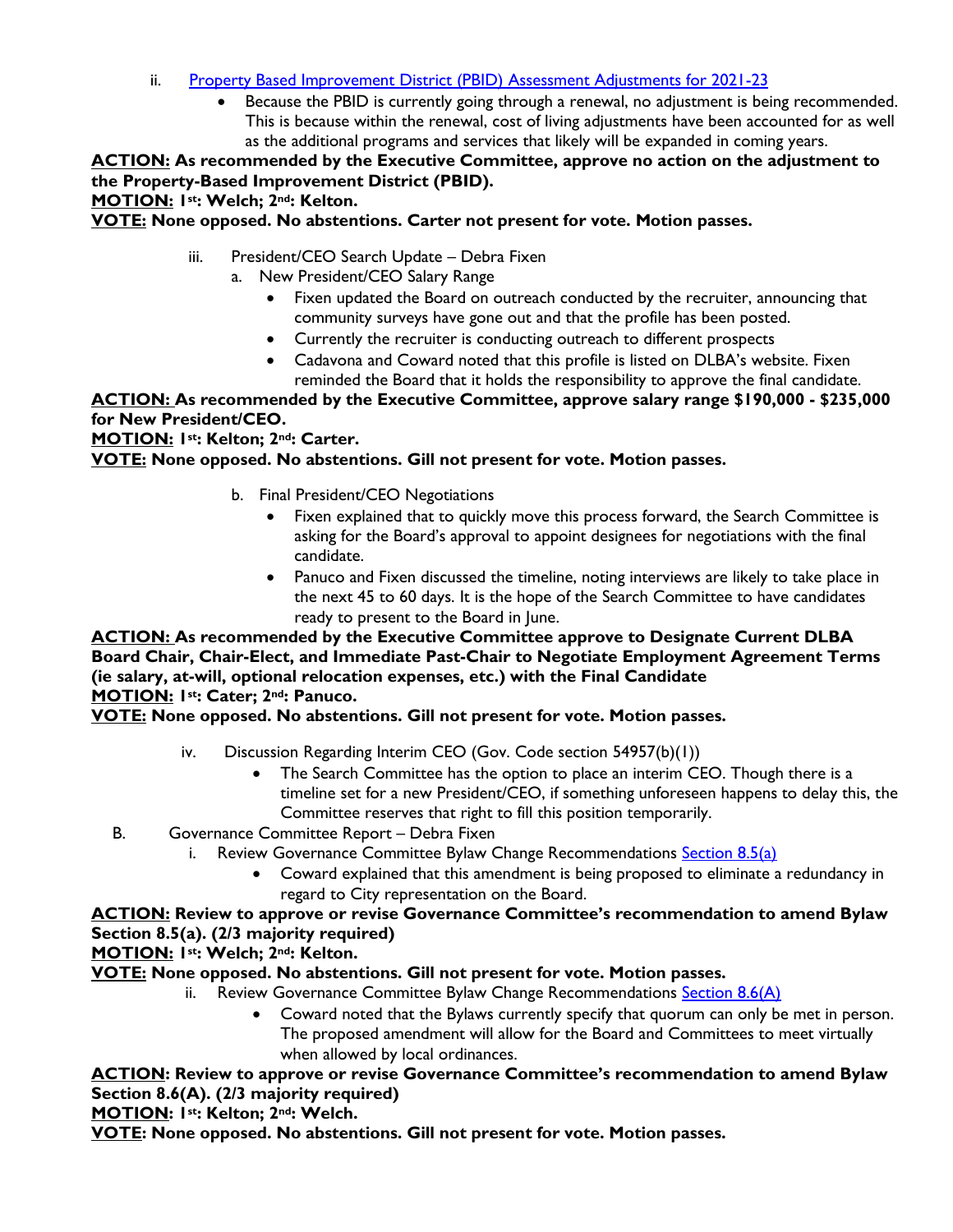## ii. [Property Based Improvement District \(PBID\) Assessment Adjustments for 2021-23](https://downtownlongbeach.org/wp-content/uploads/Action-Item-4Aii-PBID-Rate-Adjustment-21-22.pdf)

• Because the PBID is currently going through a renewal, no adjustment is being recommended. This is because within the renewal, cost of living adjustments have been accounted for as well as the additional programs and services that likely will be expanded in coming years.

**ACTION: As recommended by the Executive Committee, approve no action on the adjustment to the Property-Based Improvement District (PBID).**

**MOTION: 1st: Welch; 2nd: Kelton.**

## **VOTE: None opposed. No abstentions. Carter not present for vote. Motion passes.**

- iii. President/CEO Search Update Debra Fixen
	- a. New President/CEO Salary Range
		- Fixen updated the Board on outreach conducted by the recruiter, announcing that community surveys have gone out and that the profile has been posted.
		- Currently the recruiter is conducting outreach to different prospects
		- Cadavona and Coward noted that this profile is listed on DLBA's website. Fixen reminded the Board that it holds the responsibility to approve the final candidate.

**ACTION: As recommended by the Executive Committee, approve salary range \$190,000 - \$235,000 for New President/CEO.**

**MOTION: 1st: Kelton; 2nd: Carter.**

## **VOTE: None opposed. No abstentions. Gill not present for vote. Motion passes.**

- b. Final President/CEO Negotiations
	- Fixen explained that to quickly move this process forward, the Search Committee is asking for the Board's approval to appoint designees for negotiations with the final candidate.
	- Panuco and Fixen discussed the timeline, noting interviews are likely to take place in the next 45 to 60 days. It is the hope of the Search Committee to have candidates ready to present to the Board in June.

**ACTION: As recommended by the Executive Committee approve to Designate Current DLBA Board Chair, Chair-Elect, and Immediate Past-Chair to Negotiate Employment Agreement Terms (ie salary, at-will, optional relocation expenses, etc.) with the Final Candidate MOTION: 1st: Cater; 2nd: Panuco.** 

## **VOTE: None opposed. No abstentions. Gill not present for vote. Motion passes.**

- iv. Discussion Regarding Interim CEO (Gov. Code section 54957(b)(1))
	- The Search Committee has the option to place an interim CEO. Though there is a timeline set for a new President/CEO, if something unforeseen happens to delay this, the Committee reserves that right to fill this position temporarily.
- B. Governance Committee Report Debra Fixen
	- i. Review Governance Committee Bylaw Change Recommendations [Section 8.5\(a\)](https://downtownlongbeach.org/wp-content/uploads/Action-Report-4B-i-1.pdf)
		- Coward explained that this amendment is being proposed to eliminate a redundancy in regard to City representation on the Board.

#### **ACTION: Review to approve or revise Governance Committee's recommendation to amend Bylaw Section 8.5(a). (2/3 majority required)**

**MOTION: 1st: Welch; 2nd: Kelton.**

## **VOTE: None opposed. No abstentions. Gill not present for vote. Motion passes.**

- ii. Review Governance Committee Bylaw Change Recommendations [Section 8.6\(A\)](https://downtownlongbeach.org/wp-content/uploads/Action-Report-4B-ii-1.pdf)
	- Coward noted that the Bylaws currently specify that quorum can only be met in person. The proposed amendment will allow for the Board and Committees to meet virtually when allowed by local ordinances.

## **ACTION: Review to approve or revise Governance Committee's recommendation to amend Bylaw Section 8.6(A). (2/3 majority required)**

## **MOTION: 1st: Kelton; 2nd: Welch.**

**VOTE: None opposed. No abstentions. Gill not present for vote. Motion passes.**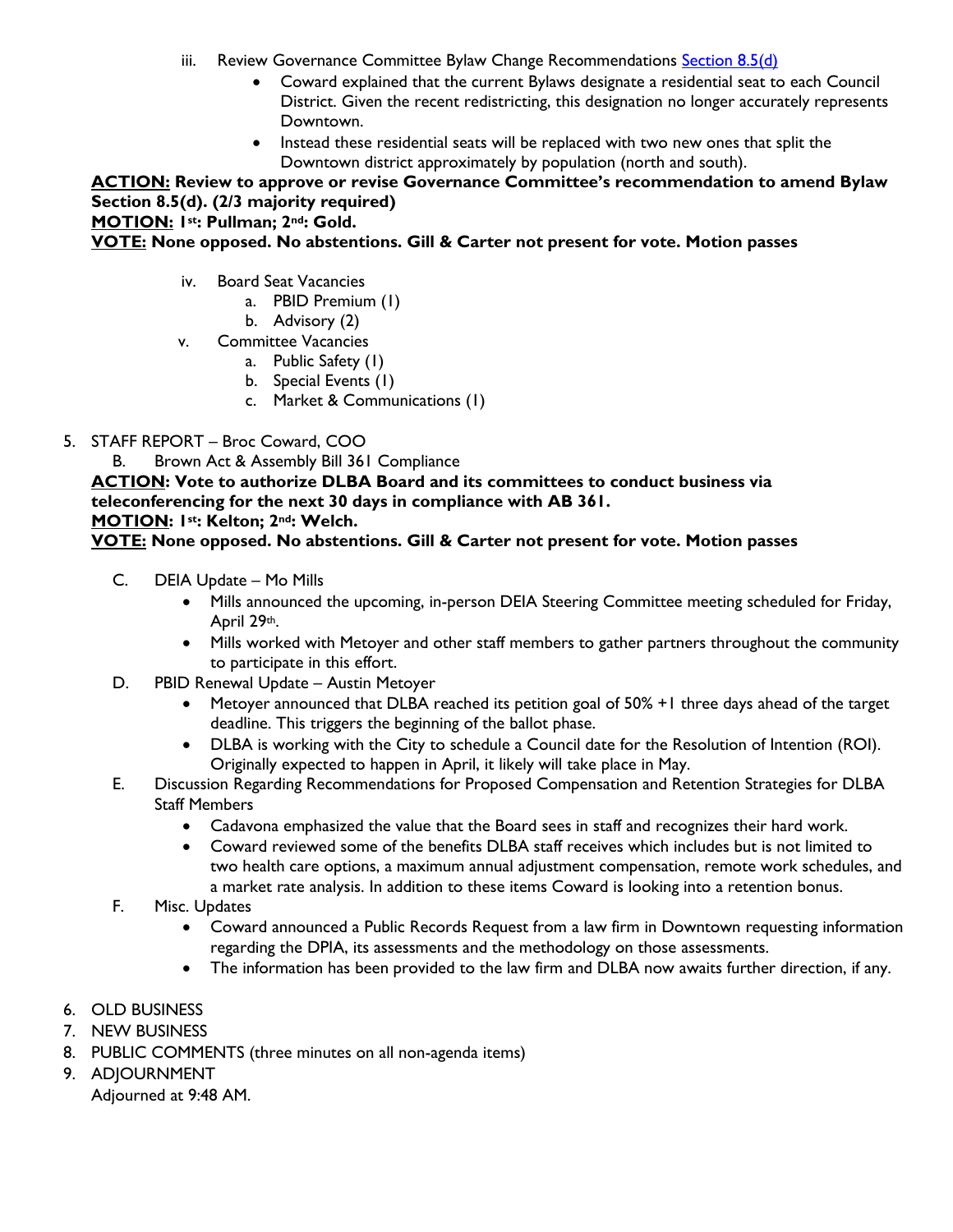- iii. Review Governance Committee Bylaw Change Recommendations [Section 8.5\(d\)](https://downtownlongbeach.org/wp-content/uploads/Action-Report-4B-iii.pdf)
	- Coward explained that the current Bylaws designate a residential seat to each Council District. Given the recent redistricting, this designation no longer accurately represents Downtown.
	- Instead these residential seats will be replaced with two new ones that split the Downtown district approximately by population (north and south).

**ACTION: Review to approve or revise Governance Committee's recommendation to amend Bylaw Section 8.5(d). (2/3 majority required) MOTION: 1st: Pullman; 2nd: Gold.**

**VOTE: None opposed. No abstentions. Gill & Carter not present for vote. Motion passes**

- iv. Board Seat Vacancies
	- a. PBID Premium (1)
	- b. Advisory (2)
- v. Committee Vacancies
	- a. Public Safety (1)
	- b. Special Events (1)
	- c. Market & Communications (1)
- 5. STAFF REPORT Broc Coward, COO
	- B. Brown Act & Assembly Bill 361 Compliance

**ACTION: Vote to authorize DLBA Board and its committees to conduct business via teleconferencing for the next 30 days in compliance with AB 361.**

## **MOTION: 1st: Kelton; 2nd: Welch.**

## **VOTE: None opposed. No abstentions. Gill & Carter not present for vote. Motion passes**

- C. DEIA Update Mo Mills
	- Mills announced the upcoming, in-person DEIA Steering Committee meeting scheduled for Friday, April 29th.
	- Mills worked with Metoyer and other staff members to gather partners throughout the community to participate in this effort.
- D. PBID Renewal Update Austin Metoyer
	- Metoyer announced that DLBA reached its petition goal of 50% +1 three days ahead of the target deadline. This triggers the beginning of the ballot phase.
	- DLBA is working with the City to schedule a Council date for the Resolution of Intention (ROI). Originally expected to happen in April, it likely will take place in May.
- E. Discussion Regarding Recommendations for Proposed Compensation and Retention Strategies for DLBA Staff Members
	- Cadavona emphasized the value that the Board sees in staff and recognizes their hard work.
	- Coward reviewed some of the benefits DLBA staff receives which includes but is not limited to two health care options, a maximum annual adjustment compensation, remote work schedules, and a market rate analysis. In addition to these items Coward is looking into a retention bonus.
- F. Misc. Updates
	- Coward announced a Public Records Request from a law firm in Downtown requesting information regarding the DPIA, its assessments and the methodology on those assessments.
	- The information has been provided to the law firm and DLBA now awaits further direction, if any.
- 6. OLD BUSINESS
- 7. NEW BUSINESS
- 8. PUBLIC COMMENTS (three minutes on all non-agenda items)
- 9. ADJOURNMENT Adjourned at 9:48 AM.